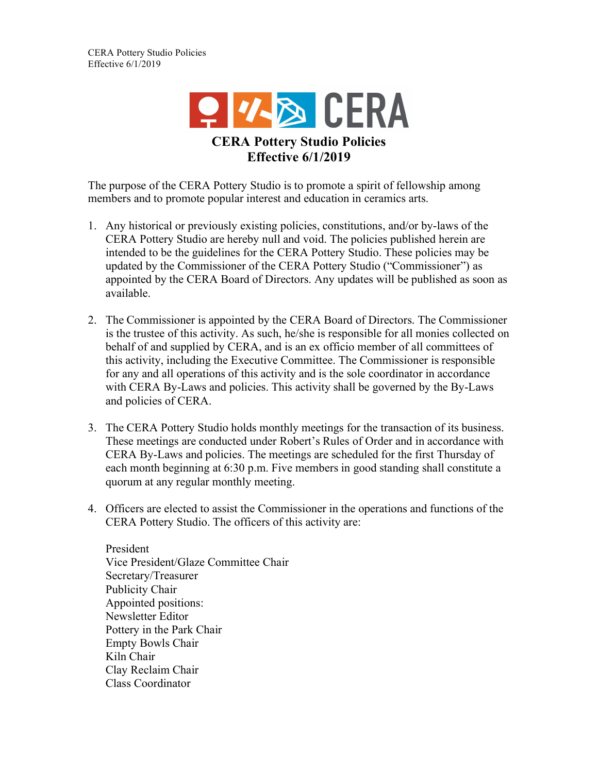

The purpose of the CERA Pottery Studio is to promote a spirit of fellowship among members and to promote popular interest and education in ceramics arts.

- 1. Any historical or previously existing policies, constitutions, and/or by-laws of the CERA Pottery Studio are hereby null and void. The policies published herein are intended to be the guidelines for the CERA Pottery Studio. These policies may be updated by the Commissioner of the CERA Pottery Studio ("Commissioner") as appointed by the CERA Board of Directors. Any updates will be published as soon as available.
- 2. The Commissioner is appointed by the CERA Board of Directors. The Commissioner is the trustee of this activity. As such, he/she is responsible for all monies collected on behalf of and supplied by CERA, and is an ex officio member of all committees of this activity, including the Executive Committee. The Commissioner is responsible for any and all operations of this activity and is the sole coordinator in accordance with CERA By-Laws and policies. This activity shall be governed by the By-Laws and policies of CERA.
- 3. The CERA Pottery Studio holds monthly meetings for the transaction of its business. These meetings are conducted under Robert's Rules of Order and in accordance with CERA By-Laws and policies. The meetings are scheduled for the first Thursday of each month beginning at 6:30 p.m. Five members in good standing shall constitute a quorum at any regular monthly meeting.
- 4. Officers are elected to assist the Commissioner in the operations and functions of the CERA Pottery Studio. The officers of this activity are:

President Vice President/Glaze Committee Chair Secretary/Treasurer Publicity Chair Appointed positions: Newsletter Editor Pottery in the Park Chair Empty Bowls Chair Kiln Chair Clay Reclaim Chair Class Coordinator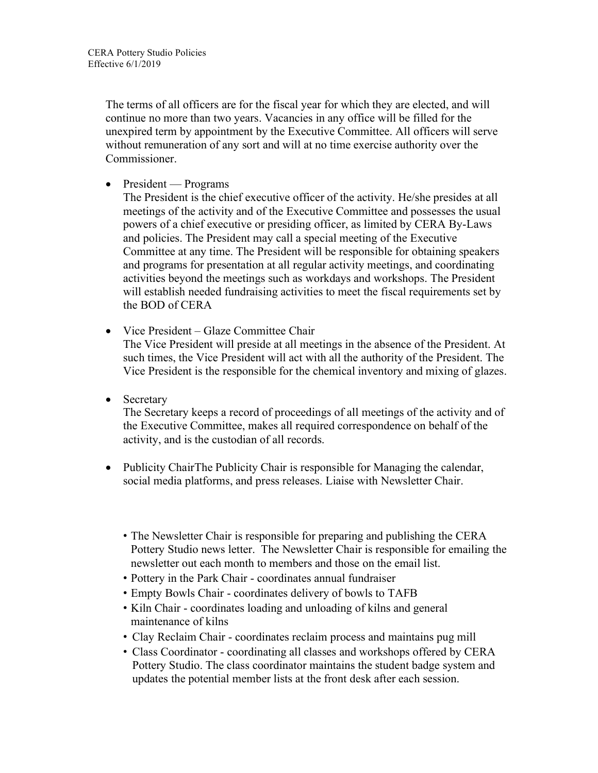The terms of all officers are for the fiscal year for which they are elected, and will continue no more than two years. Vacancies in any office will be filled for the unexpired term by appointment by the Executive Committee. All officers will serve without remuneration of any sort and will at no time exercise authority over the **Commissioner** 

• President — Programs

The President is the chief executive officer of the activity. He/she presides at all meetings of the activity and of the Executive Committee and possesses the usual powers of a chief executive or presiding officer, as limited by CERA By-Laws and policies. The President may call a special meeting of the Executive Committee at any time. The President will be responsible for obtaining speakers and programs for presentation at all regular activity meetings, and coordinating activities beyond the meetings such as workdays and workshops. The President will establish needed fundraising activities to meet the fiscal requirements set by the BOD of CERA

• Vice President – Glaze Committee Chair

The Vice President will preside at all meetings in the absence of the President. At such times, the Vice President will act with all the authority of the President. The Vice President is the responsible for the chemical inventory and mixing of glazes.

• Secretary

The Secretary keeps a record of proceedings of all meetings of the activity and of the Executive Committee, makes all required correspondence on behalf of the activity, and is the custodian of all records.

- Publicity ChairThe Publicity Chair is responsible for Managing the calendar, social media platforms, and press releases. Liaise with Newsletter Chair.
	- The Newsletter Chair is responsible for preparing and publishing the CERA Pottery Studio news letter. The Newsletter Chair is responsible for emailing the newsletter out each month to members and those on the email list.
	- Pottery in the Park Chair coordinates annual fundraiser
	- Empty Bowls Chair coordinates delivery of bowls to TAFB
	- Kiln Chair coordinates loading and unloading of kilns and general maintenance of kilns
	- Clay Reclaim Chair coordinates reclaim process and maintains pug mill
	- Class Coordinator coordinating all classes and workshops offered by CERA Pottery Studio. The class coordinator maintains the student badge system and updates the potential member lists at the front desk after each session.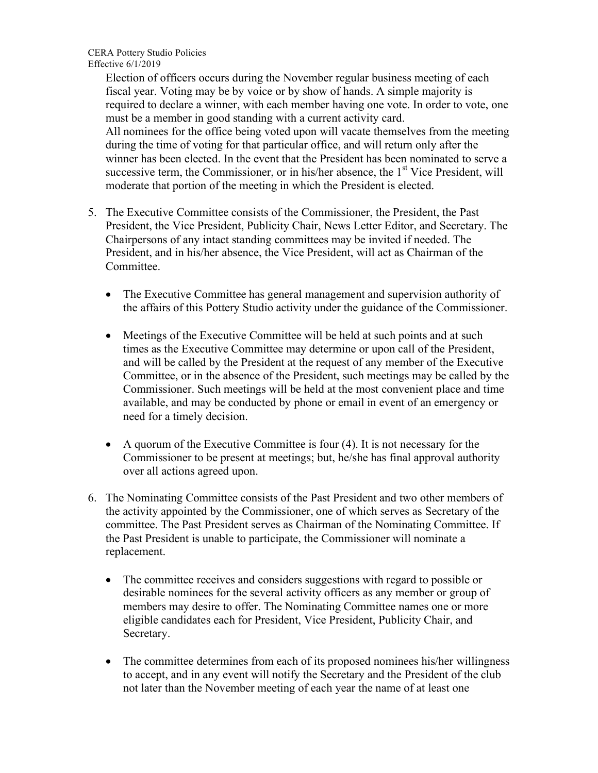CERA Pottery Studio Policies Effective 6/1/2019

> Election of officers occurs during the November regular business meeting of each fiscal year. Voting may be by voice or by show of hands. A simple majority is required to declare a winner, with each member having one vote. In order to vote, one must be a member in good standing with a current activity card. All nominees for the office being voted upon will vacate themselves from the meeting during the time of voting for that particular office, and will return only after the winner has been elected. In the event that the President has been nominated to serve a successive term, the Commissioner, or in his/her absence, the  $1<sup>st</sup>$  Vice President, will moderate that portion of the meeting in which the President is elected.

- 5. The Executive Committee consists of the Commissioner, the President, the Past President, the Vice President, Publicity Chair, News Letter Editor, and Secretary. The Chairpersons of any intact standing committees may be invited if needed. The President, and in his/her absence, the Vice President, will act as Chairman of the **Committee** 
	- The Executive Committee has general management and supervision authority of the affairs of this Pottery Studio activity under the guidance of the Commissioner.
	- Meetings of the Executive Committee will be held at such points and at such times as the Executive Committee may determine or upon call of the President, and will be called by the President at the request of any member of the Executive Committee, or in the absence of the President, such meetings may be called by the Commissioner. Such meetings will be held at the most convenient place and time available, and may be conducted by phone or email in event of an emergency or need for a timely decision.
	- A quorum of the Executive Committee is four (4). It is not necessary for the Commissioner to be present at meetings; but, he/she has final approval authority over all actions agreed upon.
- 6. The Nominating Committee consists of the Past President and two other members of the activity appointed by the Commissioner, one of which serves as Secretary of the committee. The Past President serves as Chairman of the Nominating Committee. If the Past President is unable to participate, the Commissioner will nominate a replacement.
	- The committee receives and considers suggestions with regard to possible or desirable nominees for the several activity officers as any member or group of members may desire to offer. The Nominating Committee names one or more eligible candidates each for President, Vice President, Publicity Chair, and Secretary.
	- The committee determines from each of its proposed nominees his/her willingness to accept, and in any event will notify the Secretary and the President of the club not later than the November meeting of each year the name of at least one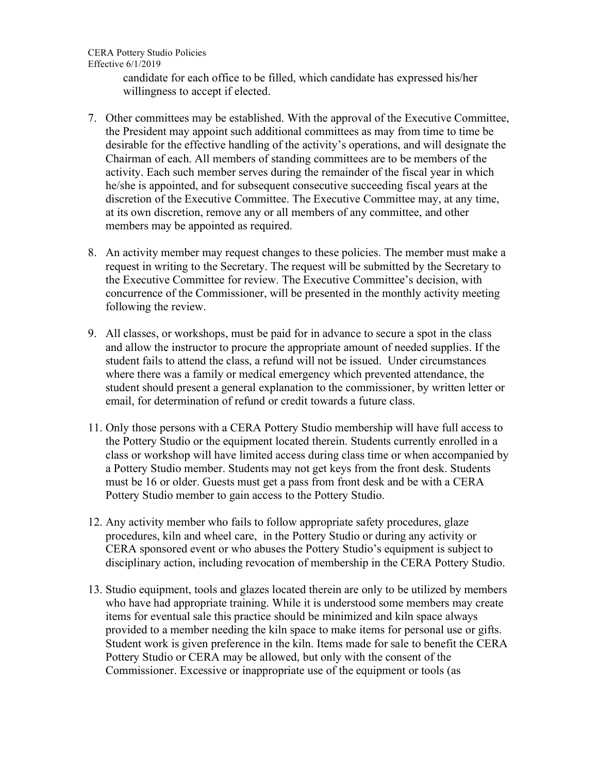CERA Pottery Studio Policies Effective 6/1/2019

> candidate for each office to be filled, which candidate has expressed his/her willingness to accept if elected.

- 7. Other committees may be established. With the approval of the Executive Committee, the President may appoint such additional committees as may from time to time be desirable for the effective handling of the activity's operations, and will designate the Chairman of each. All members of standing committees are to be members of the activity. Each such member serves during the remainder of the fiscal year in which he/she is appointed, and for subsequent consecutive succeeding fiscal years at the discretion of the Executive Committee. The Executive Committee may, at any time, at its own discretion, remove any or all members of any committee, and other members may be appointed as required.
- 8. An activity member may request changes to these policies. The member must make a request in writing to the Secretary. The request will be submitted by the Secretary to the Executive Committee for review. The Executive Committee's decision, with concurrence of the Commissioner, will be presented in the monthly activity meeting following the review.
- 9. All classes, or workshops, must be paid for in advance to secure a spot in the class and allow the instructor to procure the appropriate amount of needed supplies. If the student fails to attend the class, a refund will not be issued. Under circumstances where there was a family or medical emergency which prevented attendance, the student should present a general explanation to the commissioner, by written letter or email, for determination of refund or credit towards a future class.
- 11. Only those persons with a CERA Pottery Studio membership will have full access to the Pottery Studio or the equipment located therein. Students currently enrolled in a class or workshop will have limited access during class time or when accompanied by a Pottery Studio member. Students may not get keys from the front desk. Students must be 16 or older. Guests must get a pass from front desk and be with a CERA Pottery Studio member to gain access to the Pottery Studio.
- 12. Any activity member who fails to follow appropriate safety procedures, glaze procedures, kiln and wheel care, in the Pottery Studio or during any activity or CERA sponsored event or who abuses the Pottery Studio's equipment is subject to disciplinary action, including revocation of membership in the CERA Pottery Studio.
- 13. Studio equipment, tools and glazes located therein are only to be utilized by members who have had appropriate training. While it is understood some members may create items for eventual sale this practice should be minimized and kiln space always provided to a member needing the kiln space to make items for personal use or gifts. Student work is given preference in the kiln. Items made for sale to benefit the CERA Pottery Studio or CERA may be allowed, but only with the consent of the Commissioner. Excessive or inappropriate use of the equipment or tools (as